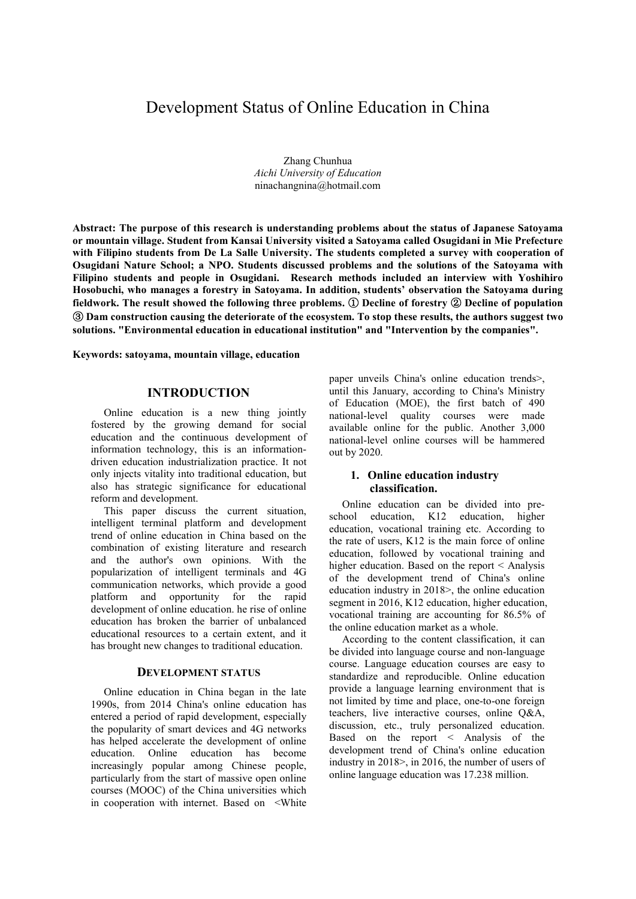# Development Status of Online Education in China

 Zhang Chunhua *Aichi University of Education*  ninachangnina@hotmail.com

**Abstract: The purpose of this research is understanding problems about the status of Japanese Satoyama or mountain village. Student from Kansai University visited a Satoyama called Osugidani in Mie Prefecture with Filipino students from De La Salle University. The students completed a survey with cooperation of Osugidani Nature School; a NPO. Students discussed problems and the solutions of the Satoyama with Filipino students and people in Osugidani. Research methods included an interview with Yoshihiro Hosobuchi, who manages a forestry in Satoyama. In addition, students' observation the Satoyama during fieldwork. The result showed the following three problems.** ① **Decline of forestry** ② **Decline of population**  ③ **Dam construction causing the deteriorate of the ecosystem. To stop these results, the authors suggest two solutions. "Environmental education in educational institution" and "Intervention by the companies".** 

**Keywords: satoyama, mountain village, education** 

# **INTRODUCTION**

Online education is a new thing jointly fostered by the growing demand for social education and the continuous development of information technology, this is an informationdriven education industrialization practice. It not only injects vitality into traditional education, but also has strategic significance for educational reform and development.

This paper discuss the current situation, intelligent terminal platform and development trend of online education in China based on the combination of existing literature and research and the author's own opinions. With the popularization of intelligent terminals and 4G communication networks, which provide a good platform and opportunity for the rapid development of online education. he rise of online education has broken the barrier of unbalanced educational resources to a certain extent, and it has brought new changes to traditional education.

# **DEVELOPMENT STATUS**

Online education in China began in the late 1990s, from 2014 China's online education has entered a period of rapid development, especially the popularity of smart devices and 4G networks has helped accelerate the development of online education. Online education has become increasingly popular among Chinese people, particularly from the start of massive open online courses (MOOC) of the China universities which in cooperation with internet. Based on <White

paper unveils China's online education trends>, until this January, according to China's Ministry of Education (MOE), the first batch of 490 national-level quality courses were made available online for the public. Another 3,000 national-level online courses will be hammered out by 2020.

# **1. Online education industry classification.**

Online education can be divided into preschool education, K12 education, higher education, vocational training etc. According to the rate of users, K12 is the main force of online education, followed by vocational training and higher education. Based on the report < Analysis of the development trend of China's online education industry in 2018>, the online education segment in 2016, K12 education, higher education, vocational training are accounting for 86.5% of the online education market as a whole.

According to the content classification, it can be divided into language course and non-language course. Language education courses are easy to standardize and reproducible. Online education provide a language learning environment that is not limited by time and place, one-to-one foreign teachers, live interactive courses, online Q&A, discussion, etc., truly personalized education. Based on the report < Analysis of the development trend of China's online education industry in 2018>, in 2016, the number of users of online language education was 17.238 million.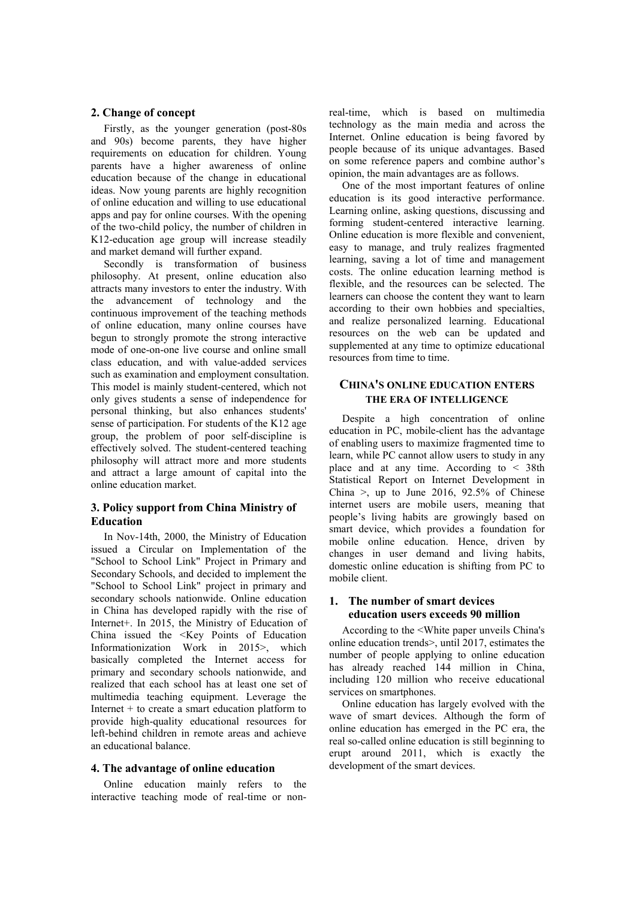## **2. Change of concept**

Firstly, as the younger generation (post-80s and 90s) become parents, they have higher requirements on education for children. Young parents have a higher awareness of online education because of the change in educational ideas. Now young parents are highly recognition of online education and willing to use educational apps and pay for online courses. With the opening of the two-child policy, the number of children in K12-education age group will increase steadily and market demand will further expand.

Secondly is transformation of business philosophy. At present, online education also attracts many investors to enter the industry. With the advancement of technology and the continuous improvement of the teaching methods of online education, many online courses have begun to strongly promote the strong interactive mode of one-on-one live course and online small class education, and with value-added services such as examination and employment consultation. This model is mainly student-centered, which not only gives students a sense of independence for personal thinking, but also enhances students' sense of participation. For students of the K12 age group, the problem of poor self-discipline is effectively solved. The student-centered teaching philosophy will attract more and more students and attract a large amount of capital into the online education market.

# **3. Policy support from China Ministry of Education**

In Nov-14th, 2000, the Ministry of Education issued a Circular on Implementation of the "School to School Link" Project in Primary and Secondary Schools, and decided to implement the "School to School Link" project in primary and secondary schools nationwide. Online education in China has developed rapidly with the rise of Internet+. In 2015, the Ministry of Education of China issued the <Key Points of Education Informationization Work in 2015>, which basically completed the Internet access for primary and secondary schools nationwide, and realized that each school has at least one set of multimedia teaching equipment. Leverage the Internet  $+$  to create a smart education platform to provide high-quality educational resources for left-behind children in remote areas and achieve an educational balance.

#### **4. The advantage of online education**

Online education mainly refers to the interactive teaching mode of real-time or nonreal-time, which is based on multimedia technology as the main media and across the Internet. Online education is being favored by people because of its unique advantages. Based on some reference papers and combine author's opinion, the main advantages are as follows.

One of the most important features of online education is its good interactive performance. Learning online, asking questions, discussing and forming student-centered interactive learning. Online education is more flexible and convenient, easy to manage, and truly realizes fragmented learning, saving a lot of time and management costs. The online education learning method is flexible, and the resources can be selected. The learners can choose the content they want to learn according to their own hobbies and specialties, and realize personalized learning. Educational resources on the web can be updated and supplemented at any time to optimize educational resources from time to time.

# **CHINA'S ONLINE EDUCATION ENTERS THE ERA OF INTELLIGENCE**

Despite a high concentration of online education in PC, mobile-client has the advantage of enabling users to maximize fragmented time to learn, while PC cannot allow users to study in any place and at any time. According to < 38th Statistical Report on Internet Development in China >, up to June 2016,  $92.5\%$  of Chinese internet users are mobile users, meaning that people's living habits are growingly based on smart device, which provides a foundation for mobile online education. Hence, driven by changes in user demand and living habits, domestic online education is shifting from PC to mobile client.

## **1. The number of smart devices education users exceeds 90 million**

According to the <White paper unveils China's online education trends>, until 2017, estimates the number of people applying to online education has already reached 144 million in China, including 120 million who receive educational services on smartphones.

Online education has largely evolved with the wave of smart devices. Although the form of online education has emerged in the PC era, the real so-called online education is still beginning to erupt around 2011, which is exactly the development of the smart devices.